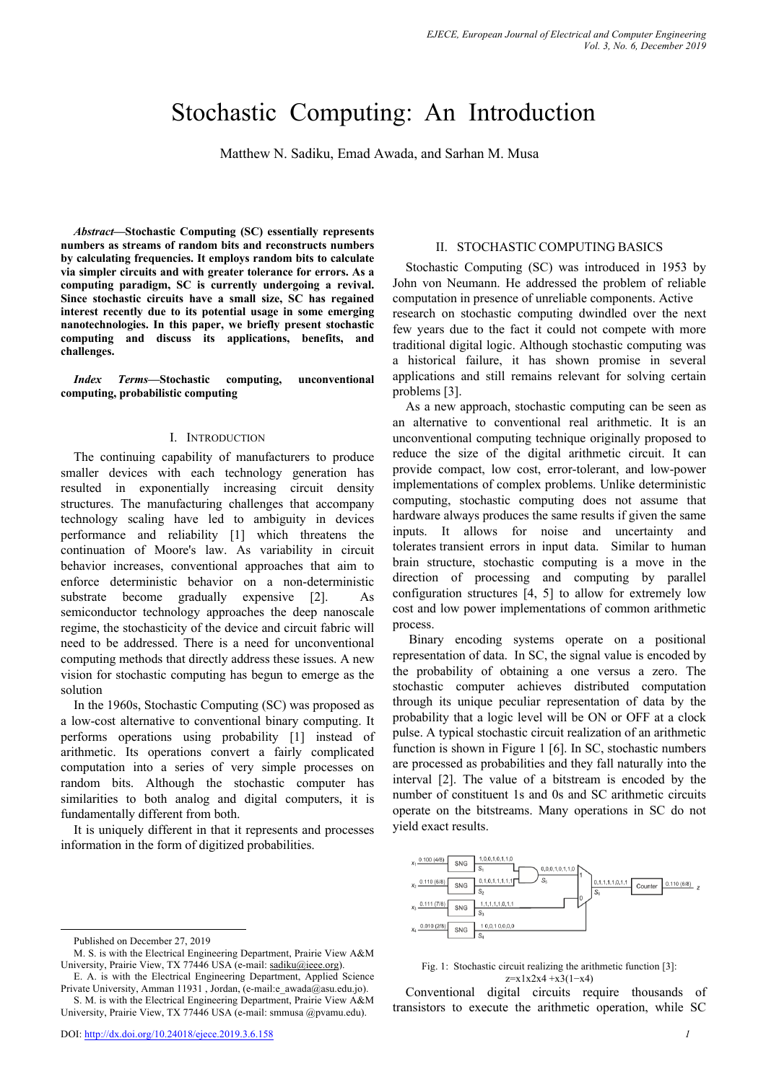# Stochastic Computing: An Introduction

Matthew N. Sadiku, Emad Awada, and Sarhan M. Musa

*Abstract***—Stochastic Computing (SC) essentially represents numbers as streams of random bits and reconstructs numbers by calculating frequencies. It employs random bits to calculate via simpler circuits and with greater tolerance for errors. As a computing paradigm, SC is currently undergoing a revival. Since stochastic circuits have a small size, SC has regained interest recently due to its potential usage in some emerging nanotechnologies. In this paper, we briefly present stochastic computing and discuss its applications, benefits, and challenges.** 

*Index Terms***—Stochastic computing, unconventional computing, probabilistic computing**

#### I. INTRODUCTION

The continuing capability of manufacturers to produce smaller devices with each technology generation has resulted in exponentially increasing circuit density structures. The manufacturing challenges that accompany technology scaling have led to ambiguity in devices performance and reliability [1] which threatens the continuation of Moore's law. As variability in circuit behavior increases, conventional approaches that aim to enforce deterministic behavior on a non-deterministic substrate become gradually expensive [2]. As semiconductor technology approaches the deep nanoscale regime, the stochasticity of the device and circuit fabric will need to be addressed. There is a need for unconventional computing methods that directly address these issues. A new vision for stochastic computing has begun to emerge as the solution

In the 1960s, Stochastic Computing (SC) was proposed as a low-cost alternative to conventional binary computing. It performs operations using probability [1] instead of arithmetic. Its operations convert a fairly complicated computation into a series of very simple processes on random bits. Although the stochastic computer has similarities to both analog and digital computers, it is fundamentally different from both.

It is uniquely different in that it represents and processes information in the form of digitized probabilities.

## II. STOCHASTIC COMPUTING BASICS

Stochastic Computing (SC) was introduced in 1953 by John von Neumann. He addressed the problem of reliable computation in presence of unreliable components. Active research on stochastic computing dwindled over the next few years due to the fact it could not compete with more traditional digital logic. Although stochastic computing was a historical failure, it has shown promise in several applications and still remains relevant for solving certain problems [3].

As a new approach, stochastic computing can be seen as an alternative to conventional real arithmetic. It is an unconventional computing technique originally proposed to reduce the size of the digital arithmetic circuit. It can provide compact, low cost, error-tolerant, and low-power implementations of complex problems. Unlike deterministic computing, stochastic computing does not assume that hardware always produces the same results if given the same inputs. It allows for noise and uncertainty and tolerates transient errors in input data. Similar to human brain structure, stochastic computing is a move in the direction of processing and computing by parallel configuration structures [4, 5] to allow for extremely low cost and low power implementations of common arithmetic process.

Binary encoding systems operate on a positional representation of data. In SC, the signal value is encoded by the probability of obtaining a one versus a zero. The stochastic computer achieves distributed computation through its unique peculiar representation of data by the probability that a logic level will be ON or OFF at a clock pulse. A typical stochastic circuit realization of an arithmetic function is shown in Figure 1 [6]. In SC, stochastic numbers are processed as probabilities and they fall naturally into the interval [2]. The value of a bitstream is encoded by the number of constituent 1s and 0s and SC arithmetic circuits operate on the bitstreams. Many operations in SC do not yield exact results.





Conventional digital circuits require thousands of transistors to execute the arithmetic operation, while SC

Published on December 27, 2019

M. S. is with the Electrical Engineering Department, Prairie View A&M University, Prairie View, TX 77446 USA (e-mail: sadiku@ieee.org).

E. A. is with the Electrical Engineering Department, Applied Science Private University, Amman 11931, Jordan, (e-mail:e\_awada@asu.edu.jo).

S. M. is with the Electrical Engineering Department, Prairie View A&M University, Prairie View, TX 77446 USA (e-mail: smmusa @pvamu.edu).